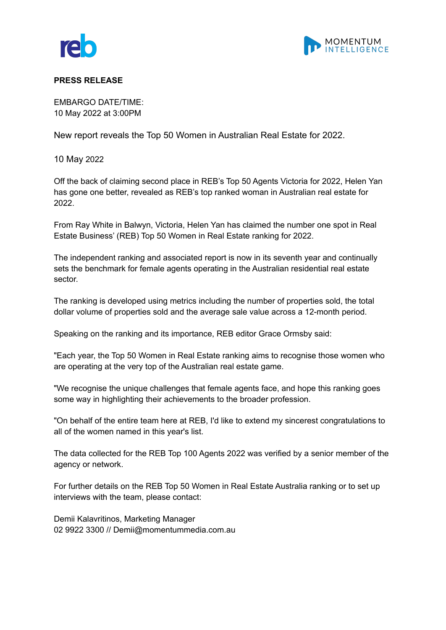



## **PRESS RELEASE**

EMBARGO DATE/TIME: 10 May 2022 at 3:00PM

New report reveals the Top 50 Women in Australian Real Estate for 2022.

10 May 2022

Off the back of claiming second place in REB's Top 50 Agents Victoria for 2022, Helen Yan has gone one better, revealed as REB's top ranked woman in Australian real estate for 2022.

From Ray White in Balwyn, Victoria, Helen Yan has claimed the number one spot in Real Estate Business' (REB) Top 50 Women in Real Estate ranking for 2022.

The independent ranking and associated report is now in its seventh year and continually sets the benchmark for female agents operating in the Australian residential real estate sector.

The ranking is developed using metrics including the number of properties sold, the total dollar volume of properties sold and the average sale value across a 12-month period.

Speaking on the ranking and its importance, REB editor Grace Ormsby said:

"Each year, the Top 50 Women in Real Estate ranking aims to recognise those women who are operating at the very top of the Australian real estate game.

"We recognise the unique challenges that female agents face, and hope this ranking goes some way in highlighting their achievements to the broader profession.

"On behalf of the entire team here at REB, I'd like to extend my sincerest congratulations to all of the women named in this year's list.

The data collected for the REB Top 100 Agents 2022 was verified by a senior member of the agency or network.

For further details on the REB Top 50 Women in Real Estate Australia ranking or to set up interviews with the team, please contact:

Demii Kalavritinos, Marketing Manager 02 9922 3300 // Demii@momentummedia.com.au